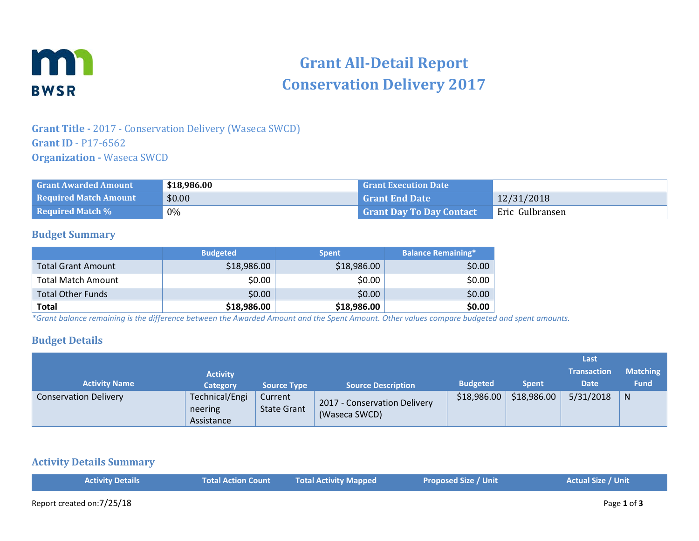

# **Grant All-Detail Report Conservation Delivery 2017**

## **Grant Title -** 2017 - Conservation Delivery (Waseca SWCD) **Grant ID** - P17-6562 **Organization -** Waseca SWCD

| <b>Grant Awarded Amount</b>  | \$18,986.00 | <b>Grant Execution Date</b>     |                 |
|------------------------------|-------------|---------------------------------|-----------------|
| <b>Required Match Amount</b> | \$0.00      | <b>Grant End Date</b>           | 12/31/2018      |
| <b>Required Match %</b>      | $0\%$       | <b>Grant Day To Day Contact</b> | Eric Gulbransen |

#### **Budget Summary**

|                           | <b>Budgeted</b> | <b>Spent</b> | <b>Balance Remaining*</b> |
|---------------------------|-----------------|--------------|---------------------------|
| <b>Total Grant Amount</b> | \$18,986.00     | \$18,986.00  | \$0.00                    |
| <b>Total Match Amount</b> | \$0.00          | \$0.00       | \$0.00                    |
| <b>Total Other Funds</b>  | \$0.00          | \$0.00       | \$0.00                    |
| <b>Total</b>              | \$18,986.00     | \$18,986.00  | \$0.00                    |

*\*Grant balance remaining is the difference between the Awarded Amount and the Spent Amount. Other values compare budgeted and spent amounts.*

### **Budget Details**

|                              |                                         |                               |                                               |                 |              | Last               |                 |
|------------------------------|-----------------------------------------|-------------------------------|-----------------------------------------------|-----------------|--------------|--------------------|-----------------|
|                              | <b>Activity</b>                         |                               |                                               |                 |              | <b>Transaction</b> | <b>Matching</b> |
| <b>Activity Name</b>         | <b>Category</b>                         | <b>Source Type</b>            | <b>Source Description</b>                     | <b>Budgeted</b> | <b>Spent</b> | <b>Date</b>        | <b>Fund</b>     |
| <b>Conservation Delivery</b> | Technical/Engi<br>neering<br>Assistance | Current<br><b>State Grant</b> | 2017 - Conservation Delivery<br>(Waseca SWCD) | \$18,986.00     | \$18,986.00  | 5/31/2018          | N               |

#### **Activity Details Summary**

| <b>Activity Details</b> | <b>Total Action Count</b> | Total Activity Mapped | <b>Proposed Size / Unit</b> | <b>Actual Size / Unit</b> |
|-------------------------|---------------------------|-----------------------|-----------------------------|---------------------------|
|                         |                           |                       |                             |                           |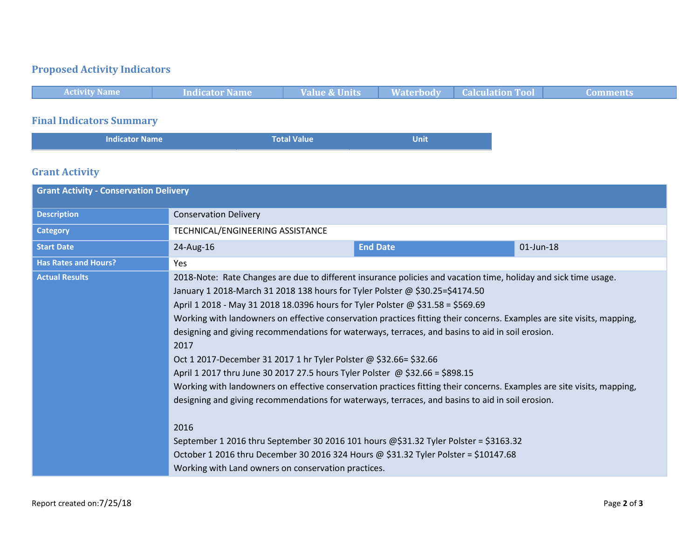## **Proposed Activity Indicators**



## **Grant Activity**

| <b>Grant Activity - Conservation Delivery</b> |                                                                                                                                                                                                                                                                                                                                                                                                                                                                                                                                                                                                                                                                                                                                                                                                                                                                                                                                                                                                                                                                                                                                                           |                 |           |  |
|-----------------------------------------------|-----------------------------------------------------------------------------------------------------------------------------------------------------------------------------------------------------------------------------------------------------------------------------------------------------------------------------------------------------------------------------------------------------------------------------------------------------------------------------------------------------------------------------------------------------------------------------------------------------------------------------------------------------------------------------------------------------------------------------------------------------------------------------------------------------------------------------------------------------------------------------------------------------------------------------------------------------------------------------------------------------------------------------------------------------------------------------------------------------------------------------------------------------------|-----------------|-----------|--|
| <b>Description</b>                            | <b>Conservation Delivery</b>                                                                                                                                                                                                                                                                                                                                                                                                                                                                                                                                                                                                                                                                                                                                                                                                                                                                                                                                                                                                                                                                                                                              |                 |           |  |
| <b>Category</b>                               | TECHNICAL/ENGINEERING ASSISTANCE                                                                                                                                                                                                                                                                                                                                                                                                                                                                                                                                                                                                                                                                                                                                                                                                                                                                                                                                                                                                                                                                                                                          |                 |           |  |
| <b>Start Date</b>                             | 24-Aug-16                                                                                                                                                                                                                                                                                                                                                                                                                                                                                                                                                                                                                                                                                                                                                                                                                                                                                                                                                                                                                                                                                                                                                 | <b>End Date</b> | 01-Jun-18 |  |
| <b>Has Rates and Hours?</b>                   | Yes                                                                                                                                                                                                                                                                                                                                                                                                                                                                                                                                                                                                                                                                                                                                                                                                                                                                                                                                                                                                                                                                                                                                                       |                 |           |  |
| <b>Actual Results</b>                         | 2018-Note: Rate Changes are due to different insurance policies and vacation time, holiday and sick time usage.<br>January 1 2018-March 31 2018 138 hours for Tyler Polster @ \$30.25=\$4174.50<br>April 1 2018 - May 31 2018 18.0396 hours for Tyler Polster @ \$31.58 = \$569.69<br>Working with landowners on effective conservation practices fitting their concerns. Examples are site visits, mapping,<br>designing and giving recommendations for waterways, terraces, and basins to aid in soil erosion.<br>2017<br>Oct 1 2017-December 31 2017 1 hr Tyler Polster @ \$32.66= \$32.66<br>April 1 2017 thru June 30 2017 27.5 hours Tyler Polster @ \$32.66 = \$898.15<br>Working with landowners on effective conservation practices fitting their concerns. Examples are site visits, mapping,<br>designing and giving recommendations for waterways, terraces, and basins to aid in soil erosion.<br>2016<br>September 1 2016 thru September 30 2016 101 hours @\$31.32 Tyler Polster = \$3163.32<br>October 1 2016 thru December 30 2016 324 Hours @ \$31.32 Tyler Polster = \$10147.68<br>Working with Land owners on conservation practices. |                 |           |  |